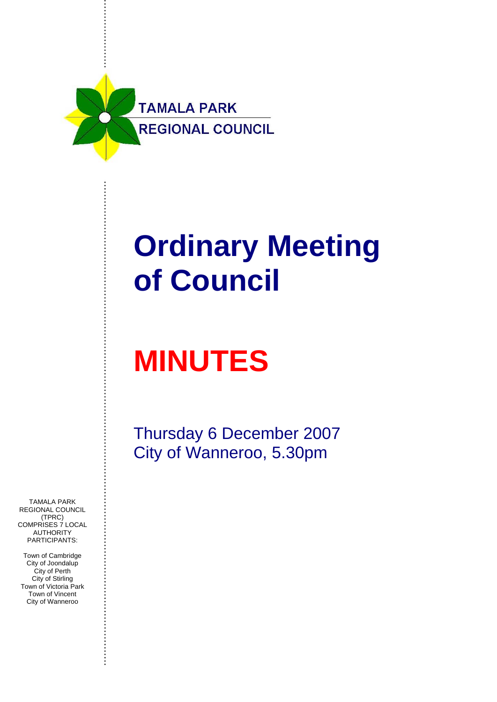

# **Ordinary Meeting of Council**

# **MINUTES**

Thursday 6 December 2007 City of Wanneroo, 5.30pm

TAMALA PARK REGIONAL COUNCIL (TPRC) COMPRISES 7 LOCAL AUTHORITY PARTICIPANTS:

Town of Cambridge City of Joondalup City of Perth City of Stirling Town of Victoria Park Town of Vincent City of Wanneroo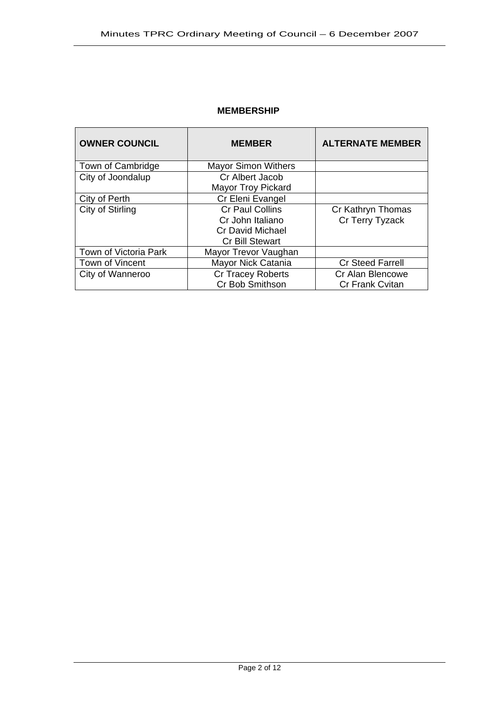## **MEMBERSHIP**

| <b>OWNER COUNCIL</b>  | <b>MEMBER</b>                                                                                   | <b>ALTERNATE MEMBER</b>                    |
|-----------------------|-------------------------------------------------------------------------------------------------|--------------------------------------------|
| Town of Cambridge     | <b>Mayor Simon Withers</b>                                                                      |                                            |
| City of Joondalup     | Cr Albert Jacob<br><b>Mayor Troy Pickard</b>                                                    |                                            |
| City of Perth         | Cr Eleni Evangel                                                                                |                                            |
| City of Stirling      | <b>Cr Paul Collins</b><br>Cr John Italiano<br><b>Cr David Michael</b><br><b>Cr Bill Stewart</b> | Cr Kathryn Thomas<br>Cr Terry Tyzack       |
| Town of Victoria Park | Mayor Trevor Vaughan                                                                            |                                            |
| Town of Vincent       | Mayor Nick Catania                                                                              | <b>Cr Steed Farrell</b>                    |
| City of Wanneroo      | <b>Cr Tracey Roberts</b><br>Cr Bob Smithson                                                     | Cr Alan Blencowe<br><b>Cr Frank Cvitan</b> |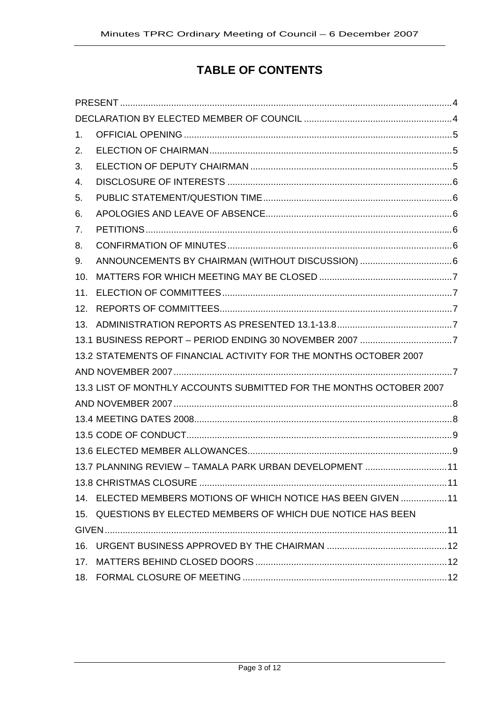# **TABLE OF CONTENTS**

| $1_{-}$        |                                                                     |  |
|----------------|---------------------------------------------------------------------|--|
| 2.             |                                                                     |  |
| 3.             |                                                                     |  |
| 4.             |                                                                     |  |
| 5.             |                                                                     |  |
| 6.             |                                                                     |  |
| 7 <sub>1</sub> |                                                                     |  |
| 8.             |                                                                     |  |
| 9.             |                                                                     |  |
| 10.            |                                                                     |  |
| 11.            |                                                                     |  |
| 12.            |                                                                     |  |
| 13.            |                                                                     |  |
|                |                                                                     |  |
|                | 13.2 STATEMENTS OF FINANCIAL ACTIVITY FOR THE MONTHS OCTOBER 2007   |  |
|                |                                                                     |  |
|                | 13.3 LIST OF MONTHLY ACCOUNTS SUBMITTED FOR THE MONTHS OCTOBER 2007 |  |
|                |                                                                     |  |
|                |                                                                     |  |
|                |                                                                     |  |
|                |                                                                     |  |
|                | 13.7 PLANNING REVIEW - TAMALA PARK URBAN DEVELOPMENT  11            |  |
|                |                                                                     |  |
|                | 14. ELECTED MEMBERS MOTIONS OF WHICH NOTICE HAS BEEN GIVEN  11      |  |
|                | 15. QUESTIONS BY ELECTED MEMBERS OF WHICH DUE NOTICE HAS BEEN       |  |
|                |                                                                     |  |
| 16.            |                                                                     |  |
|                |                                                                     |  |
|                |                                                                     |  |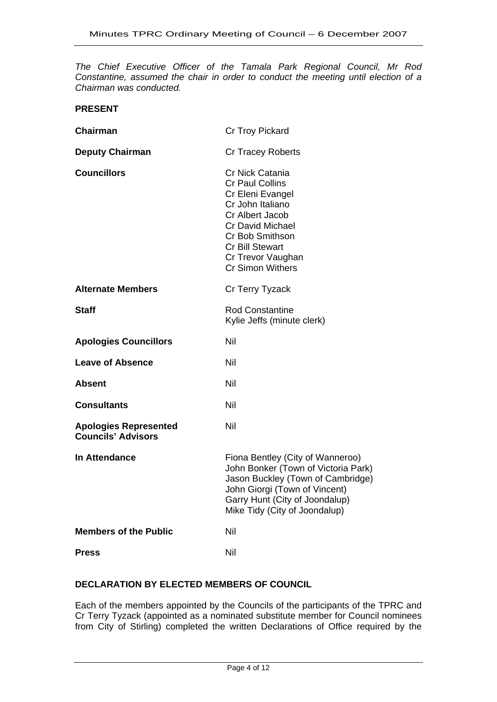*The Chief Executive Officer of the Tamala Park Regional Council, Mr Rod Constantine, assumed the chair in order to conduct the meeting until election of a Chairman was conducted.* 

**PRESENT** 

| <b>Chairman</b>                                           | Cr Troy Pickard                                                                                                                                                                                                                     |
|-----------------------------------------------------------|-------------------------------------------------------------------------------------------------------------------------------------------------------------------------------------------------------------------------------------|
| <b>Deputy Chairman</b>                                    | <b>Cr Tracey Roberts</b>                                                                                                                                                                                                            |
| <b>Councillors</b>                                        | Cr Nick Catania<br><b>Cr Paul Collins</b><br>Cr Eleni Evangel<br>Cr John Italiano<br>Cr Albert Jacob<br><b>Cr David Michael</b><br><b>Cr Bob Smithson</b><br><b>Cr Bill Stewart</b><br>Cr Trevor Vaughan<br><b>Cr Simon Withers</b> |
| <b>Alternate Members</b>                                  | Cr Terry Tyzack                                                                                                                                                                                                                     |
| <b>Staff</b>                                              | <b>Rod Constantine</b><br>Kylie Jeffs (minute clerk)                                                                                                                                                                                |
| <b>Apologies Councillors</b>                              | Nil                                                                                                                                                                                                                                 |
| <b>Leave of Absence</b>                                   | Nil                                                                                                                                                                                                                                 |
| <b>Absent</b>                                             | Nil                                                                                                                                                                                                                                 |
| <b>Consultants</b>                                        | Nil                                                                                                                                                                                                                                 |
| <b>Apologies Represented</b><br><b>Councils' Advisors</b> | Nil                                                                                                                                                                                                                                 |
| In Attendance                                             | Fiona Bentley (City of Wanneroo)<br>John Bonker (Town of Victoria Park)<br>Jason Buckley (Town of Cambridge)<br>John Giorgi (Town of Vincent)<br>Garry Hunt (City of Joondalup)<br>Mike Tidy (City of Joondalup)                    |
| <b>Members of the Public</b>                              | Nil                                                                                                                                                                                                                                 |
| <b>Press</b>                                              | Nil                                                                                                                                                                                                                                 |

# **DECLARATION BY ELECTED MEMBERS OF COUNCIL**

Each of the members appointed by the Councils of the participants of the TPRC and Cr Terry Tyzack (appointed as a nominated substitute member for Council nominees from City of Stirling) completed the written Declarations of Office required by the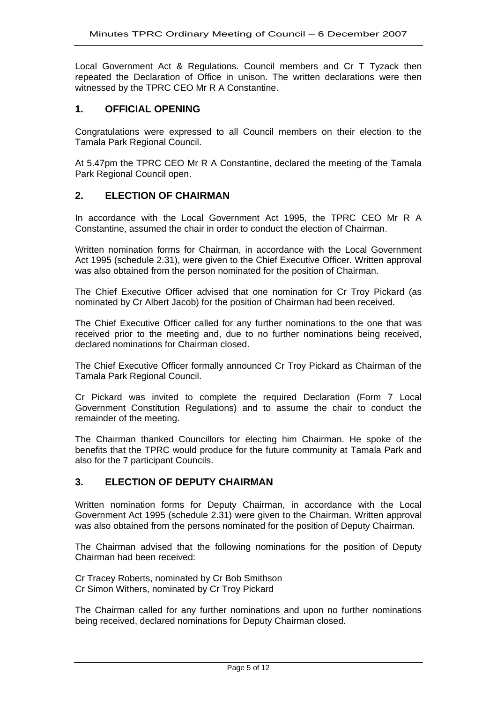Local Government Act & Regulations. Council members and Cr T Tyzack then repeated the Declaration of Office in unison. The written declarations were then witnessed by the TPRC CEO Mr R A Constantine.

## **1. OFFICIAL OPENING**

Congratulations were expressed to all Council members on their election to the Tamala Park Regional Council.

At 5.47pm the TPRC CEO Mr R A Constantine, declared the meeting of the Tamala Park Regional Council open.

# **2. ELECTION OF CHAIRMAN**

In accordance with the Local Government Act 1995, the TPRC CEO Mr R A Constantine, assumed the chair in order to conduct the election of Chairman.

Written nomination forms for Chairman, in accordance with the Local Government Act 1995 (schedule 2.31), were given to the Chief Executive Officer. Written approval was also obtained from the person nominated for the position of Chairman.

The Chief Executive Officer advised that one nomination for Cr Troy Pickard (as nominated by Cr Albert Jacob) for the position of Chairman had been received.

The Chief Executive Officer called for any further nominations to the one that was received prior to the meeting and, due to no further nominations being received, declared nominations for Chairman closed.

The Chief Executive Officer formally announced Cr Troy Pickard as Chairman of the Tamala Park Regional Council.

Cr Pickard was invited to complete the required Declaration (Form 7 Local Government Constitution Regulations) and to assume the chair to conduct the remainder of the meeting.

The Chairman thanked Councillors for electing him Chairman. He spoke of the benefits that the TPRC would produce for the future community at Tamala Park and also for the 7 participant Councils.

#### **3. ELECTION OF DEPUTY CHAIRMAN**

Written nomination forms for Deputy Chairman, in accordance with the Local Government Act 1995 (schedule 2.31) were given to the Chairman. Written approval was also obtained from the persons nominated for the position of Deputy Chairman.

The Chairman advised that the following nominations for the position of Deputy Chairman had been received:

Cr Tracey Roberts, nominated by Cr Bob Smithson Cr Simon Withers, nominated by Cr Troy Pickard

The Chairman called for any further nominations and upon no further nominations being received, declared nominations for Deputy Chairman closed.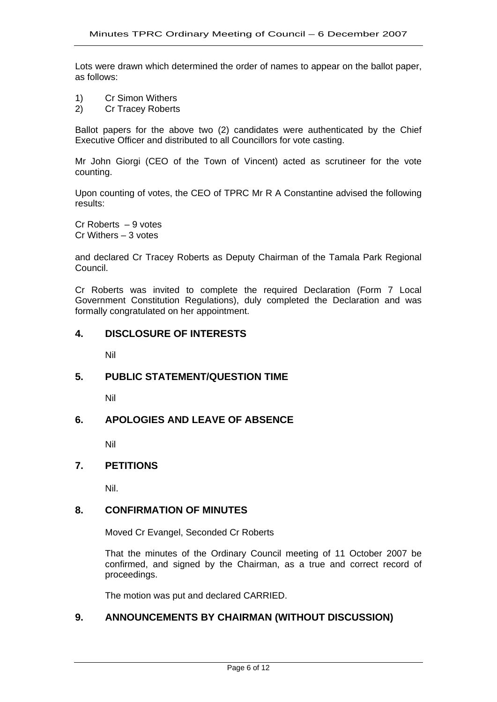Lots were drawn which determined the order of names to appear on the ballot paper, as follows:

- 1) Cr Simon Withers
- 2) Cr Tracey Roberts

Ballot papers for the above two (2) candidates were authenticated by the Chief Executive Officer and distributed to all Councillors for vote casting.

Mr John Giorgi (CEO of the Town of Vincent) acted as scrutineer for the vote counting.

Upon counting of votes, the CEO of TPRC Mr R A Constantine advised the following results:

Cr Roberts – 9 votes Cr Withers – 3 votes

and declared Cr Tracey Roberts as Deputy Chairman of the Tamala Park Regional Council.

Cr Roberts was invited to complete the required Declaration (Form 7 Local Government Constitution Regulations), duly completed the Declaration and was formally congratulated on her appointment.

# **4. DISCLOSURE OF INTERESTS**

Nil

# **5. PUBLIC STATEMENT/QUESTION TIME**

Nil

# **6. APOLOGIES AND LEAVE OF ABSENCE**

Nil

#### **7. PETITIONS**

Nil.

# **8. CONFIRMATION OF MINUTES**

Moved Cr Evangel, Seconded Cr Roberts

That the minutes of the Ordinary Council meeting of 11 October 2007 be confirmed, and signed by the Chairman, as a true and correct record of proceedings.

The motion was put and declared CARRIED.

## **9. ANNOUNCEMENTS BY CHAIRMAN (WITHOUT DISCUSSION)**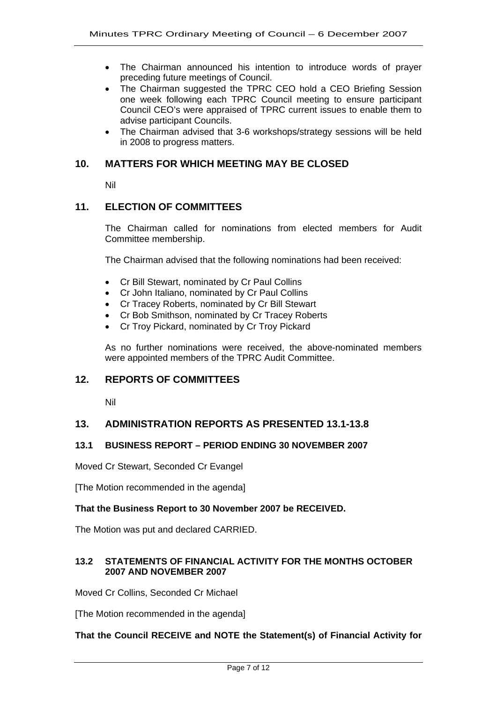- The Chairman announced his intention to introduce words of prayer preceding future meetings of Council.
- The Chairman suggested the TPRC CEO hold a CEO Briefing Session one week following each TPRC Council meeting to ensure participant Council CEO's were appraised of TPRC current issues to enable them to advise participant Councils.
- The Chairman advised that 3-6 workshops/strategy sessions will be held in 2008 to progress matters.

#### **10. MATTERS FOR WHICH MEETING MAY BE CLOSED**

Nil

# **11. ELECTION OF COMMITTEES**

The Chairman called for nominations from elected members for Audit Committee membership.

The Chairman advised that the following nominations had been received:

- Cr Bill Stewart, nominated by Cr Paul Collins
- Cr John Italiano, nominated by Cr Paul Collins
- Cr Tracey Roberts, nominated by Cr Bill Stewart
- Cr Bob Smithson, nominated by Cr Tracey Roberts
- Cr Troy Pickard, nominated by Cr Troy Pickard

As no further nominations were received, the above-nominated members were appointed members of the TPRC Audit Committee.

#### **12. REPORTS OF COMMITTEES**

Nil

#### **13. ADMINISTRATION REPORTS AS PRESENTED 13.1-13.8**

#### **13.1 BUSINESS REPORT – PERIOD ENDING 30 NOVEMBER 2007**

Moved Cr Stewart, Seconded Cr Evangel

[The Motion recommended in the agenda]

#### **That the Business Report to 30 November 2007 be RECEIVED.**

The Motion was put and declared CARRIED.

#### **13.2 STATEMENTS OF FINANCIAL ACTIVITY FOR THE MONTHS OCTOBER 2007 AND NOVEMBER 2007**

Moved Cr Collins, Seconded Cr Michael

[The Motion recommended in the agenda]

#### **That the Council RECEIVE and NOTE the Statement(s) of Financial Activity for**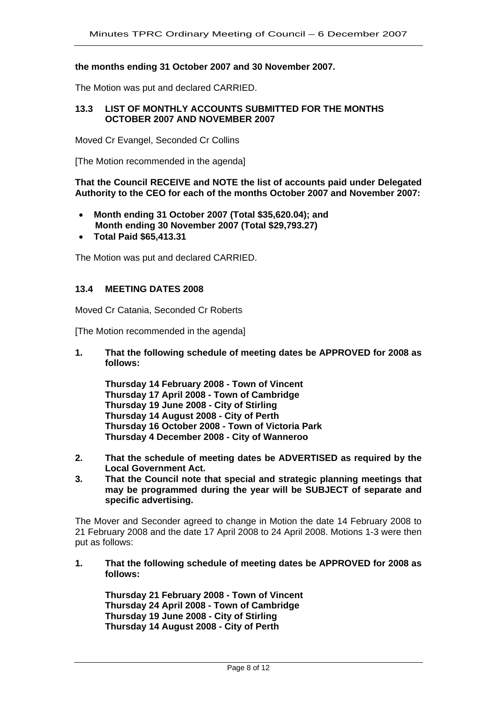#### **the months ending 31 October 2007 and 30 November 2007.**

The Motion was put and declared CARRIED.

#### **13.3 LIST OF MONTHLY ACCOUNTS SUBMITTED FOR THE MONTHS OCTOBER 2007 AND NOVEMBER 2007**

Moved Cr Evangel, Seconded Cr Collins

[The Motion recommended in the agenda]

**That the Council RECEIVE and NOTE the list of accounts paid under Delegated Authority to the CEO for each of the months October 2007 and November 2007:** 

- **Month ending 31 October 2007 (Total \$35,620.04); and Month ending 30 November 2007 (Total \$29,793.27)**
- **Total Paid \$65,413.31**

The Motion was put and declared CARRIED.

#### **13.4 MEETING DATES 2008**

Moved Cr Catania, Seconded Cr Roberts

[The Motion recommended in the agenda]

**1. That the following schedule of meeting dates be APPROVED for 2008 as follows:** 

**Thursday 14 February 2008 - Town of Vincent Thursday 17 April 2008 - Town of Cambridge Thursday 19 June 2008 - City of Stirling Thursday 14 August 2008 - City of Perth Thursday 16 October 2008 - Town of Victoria Park Thursday 4 December 2008 - City of Wanneroo** 

- **2. That the schedule of meeting dates be ADVERTISED as required by the Local Government Act.**
- **3. That the Council note that special and strategic planning meetings that may be programmed during the year will be SUBJECT of separate and specific advertising.**

The Mover and Seconder agreed to change in Motion the date 14 February 2008 to 21 February 2008 and the date 17 April 2008 to 24 April 2008. Motions 1-3 were then put as follows:

**1. That the following schedule of meeting dates be APPROVED for 2008 as follows:** 

**Thursday 21 February 2008 - Town of Vincent Thursday 24 April 2008 - Town of Cambridge Thursday 19 June 2008 - City of Stirling Thursday 14 August 2008 - City of Perth**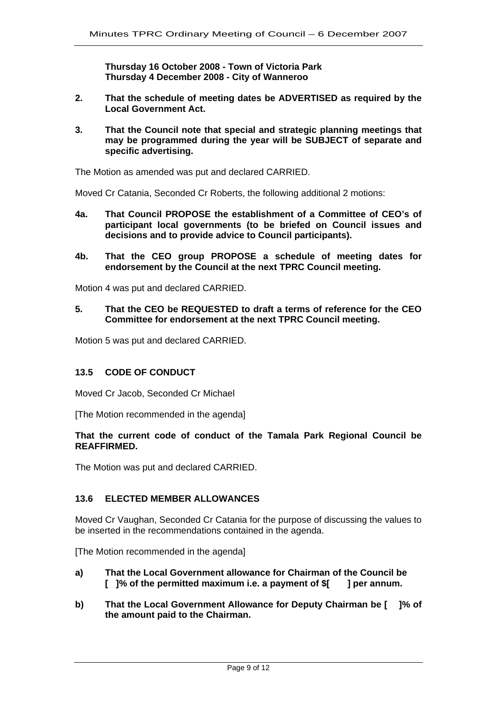**Thursday 16 October 2008 - Town of Victoria Park Thursday 4 December 2008 - City of Wanneroo** 

- **2. That the schedule of meeting dates be ADVERTISED as required by the Local Government Act.**
- **3. That the Council note that special and strategic planning meetings that may be programmed during the year will be SUBJECT of separate and specific advertising.**

The Motion as amended was put and declared CARRIED.

Moved Cr Catania, Seconded Cr Roberts, the following additional 2 motions:

- **4a. That Council PROPOSE the establishment of a Committee of CEO's of participant local governments (to be briefed on Council issues and decisions and to provide advice to Council participants).**
- **4b. That the CEO group PROPOSE a schedule of meeting dates for endorsement by the Council at the next TPRC Council meeting.**

Motion 4 was put and declared CARRIED.

**5. That the CEO be REQUESTED to draft a terms of reference for the CEO Committee for endorsement at the next TPRC Council meeting.** 

Motion 5 was put and declared CARRIED.

#### **13.5 CODE OF CONDUCT**

Moved Cr Jacob, Seconded Cr Michael

[The Motion recommended in the agenda]

#### **That the current code of conduct of the Tamala Park Regional Council be REAFFIRMED.**

The Motion was put and declared CARRIED.

#### **13.6 ELECTED MEMBER ALLOWANCES**

Moved Cr Vaughan, Seconded Cr Catania for the purpose of discussing the values to be inserted in the recommendations contained in the agenda.

[The Motion recommended in the agenda]

- **a) That the Local Government allowance for Chairman of the Council be [ ]% of the permitted maximum i.e. a payment of \$[ ] per annum.**
- **b) That the Local Government Allowance for Deputy Chairman be [ ]% of the amount paid to the Chairman.**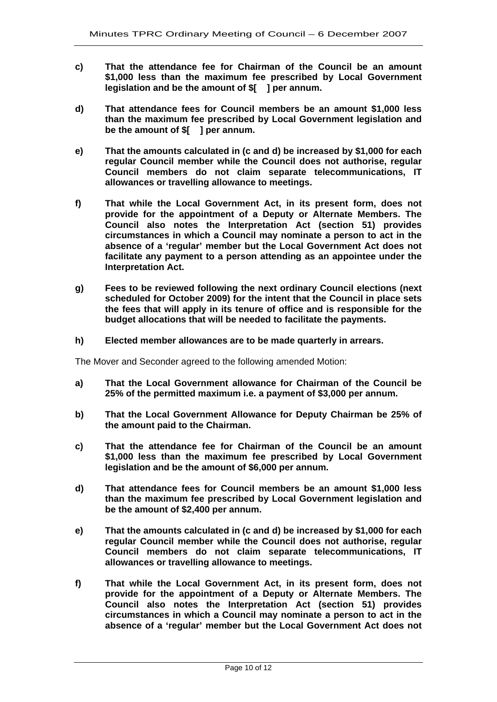- **c) That the attendance fee for Chairman of the Council be an amount \$1,000 less than the maximum fee prescribed by Local Government legislation and be the amount of \$[ ] per annum.**
- **d) That attendance fees for Council members be an amount \$1,000 less than the maximum fee prescribed by Local Government legislation and be the amount of \$[ ] per annum.**
- **e) That the amounts calculated in (c and d) be increased by \$1,000 for each regular Council member while the Council does not authorise, regular Council members do not claim separate telecommunications, IT allowances or travelling allowance to meetings.**
- **f) That while the Local Government Act, in its present form, does not provide for the appointment of a Deputy or Alternate Members. The Council also notes the Interpretation Act (section 51) provides circumstances in which a Council may nominate a person to act in the absence of a 'regular' member but the Local Government Act does not facilitate any payment to a person attending as an appointee under the Interpretation Act.**
- **g) Fees to be reviewed following the next ordinary Council elections (next scheduled for October 2009) for the intent that the Council in place sets the fees that will apply in its tenure of office and is responsible for the budget allocations that will be needed to facilitate the payments.**
- **h) Elected member allowances are to be made quarterly in arrears.**

The Mover and Seconder agreed to the following amended Motion:

- **a) That the Local Government allowance for Chairman of the Council be 25% of the permitted maximum i.e. a payment of \$3,000 per annum.**
- **b) That the Local Government Allowance for Deputy Chairman be 25% of the amount paid to the Chairman.**
- **c) That the attendance fee for Chairman of the Council be an amount \$1,000 less than the maximum fee prescribed by Local Government legislation and be the amount of \$6,000 per annum.**
- **d) That attendance fees for Council members be an amount \$1,000 less than the maximum fee prescribed by Local Government legislation and be the amount of \$2,400 per annum.**
- **e) That the amounts calculated in (c and d) be increased by \$1,000 for each regular Council member while the Council does not authorise, regular Council members do not claim separate telecommunications, IT allowances or travelling allowance to meetings.**
- **f) That while the Local Government Act, in its present form, does not provide for the appointment of a Deputy or Alternate Members. The Council also notes the Interpretation Act (section 51) provides circumstances in which a Council may nominate a person to act in the absence of a 'regular' member but the Local Government Act does not**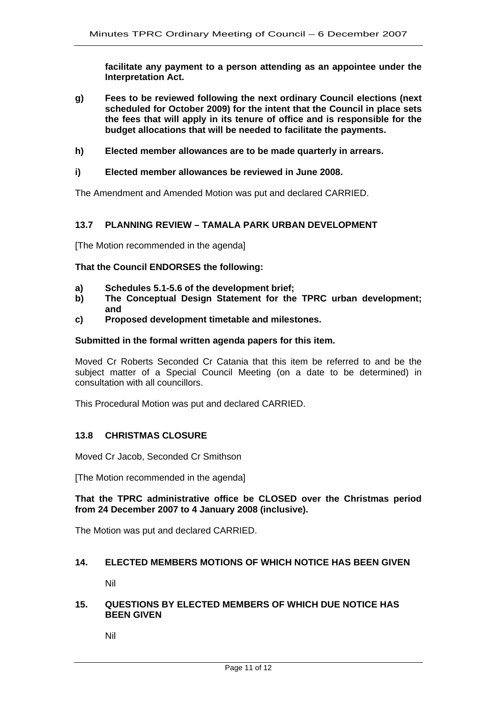**facilitate any payment to a person attending as an appointee under the Interpretation Act.** 

- **g) Fees to be reviewed following the next ordinary Council elections (next scheduled for October 2009) for the intent that the Council in place sets the fees that will apply in its tenure of office and is responsible for the budget allocations that will be needed to facilitate the payments.**
- **h) Elected member allowances are to be made quarterly in arrears.**
- **i) Elected member allowances be reviewed in June 2008.**

The Amendment and Amended Motion was put and declared CARRIED.

#### **13.7 PLANNING REVIEW – TAMALA PARK URBAN DEVELOPMENT**

[The Motion recommended in the agenda]

#### **That the Council ENDORSES the following:**

- **a) Schedules 5.1-5.6 of the development brief;**
- **b) The Conceptual Design Statement for the TPRC urban development; and**
- **c) Proposed development timetable and milestones.**

#### **Submitted in the formal written agenda papers for this item.**

Moved Cr Roberts Seconded Cr Catania that this item be referred to and be the subject matter of a Special Council Meeting (on a date to be determined) in consultation with all councillors.

This Procedural Motion was put and declared CARRIED.

#### **13.8 CHRISTMAS CLOSURE**

Moved Cr Jacob, Seconded Cr Smithson

[The Motion recommended in the agenda]

#### **That the TPRC administrative office be CLOSED over the Christmas period from 24 December 2007 to 4 January 2008 (inclusive).**

The Motion was put and declared CARRIED.

#### **14. ELECTED MEMBERS MOTIONS OF WHICH NOTICE HAS BEEN GIVEN**

Nil

#### **15. QUESTIONS BY ELECTED MEMBERS OF WHICH DUE NOTICE HAS BEEN GIVEN**

Nil